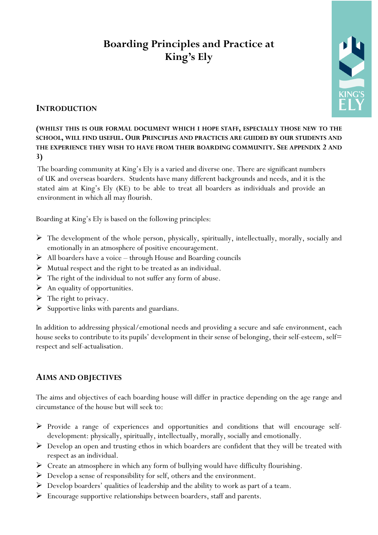# **Boarding Principles and Practice at King's Ely**



# **INTRODUCTION**

# **(WHILST THIS IS OUR FORMAL DOCUMENT WHICH I HOPE STAFF, ESPECIALLY THOSE NEW TO THE SCHOOL, WILL FIND USEFUL. OUR PRINCIPLES AND PRACTICES ARE GUIDED BY OUR STUDENTS AND THE EXPERIENCE THEY WISH TO HAVE FROM THEIR BOARDING COMMUNITY. SEE APPENDIX 2 AND 3)**

The boarding community at King's Ely is a varied and diverse one. There are significant numbers of UK and overseas boarders. Students have many different backgrounds and needs, and it is the stated aim at King's Ely (KE) to be able to treat all boarders as individuals and provide an environment in which all may flourish.

Boarding at King's Ely is based on the following principles:

- $\triangleright$  The development of the whole person, physically, spiritually, intellectually, morally, socially and emotionally in an atmosphere of positive encouragement.
- All boarders have a voice through House and Boarding councils
- $\triangleright$  Mutual respect and the right to be treated as an individual.
- $\triangleright$  The right of the individual to not suffer any form of abuse.
- $\triangleright$  An equality of opportunities.
- $\triangleright$  The right to privacy.
- $\triangleright$  Supportive links with parents and guardians.

In addition to addressing physical/emotional needs and providing a secure and safe environment, each house seeks to contribute to its pupils' development in their sense of belonging, their self-esteem, self= respect and self-actualisation.

# **AIMS AND OBJECTIVES**

The aims and objectives of each boarding house will differ in practice depending on the age range and circumstance of the house but will seek to:

- $\triangleright$  Provide a range of experiences and opportunities and conditions that will encourage selfdevelopment: physically, spiritually, intellectually, morally, socially and emotionally.
- $\triangleright$  Develop an open and trusting ethos in which boarders are confident that they will be treated with respect as an individual.
- $\triangleright$  Create an atmosphere in which any form of bullying would have difficulty flourishing.
- Develop a sense of responsibility for self, others and the environment.
- $\triangleright$  Develop boarders' qualities of leadership and the ability to work as part of a team.
- $\triangleright$  Encourage supportive relationships between boarders, staff and parents.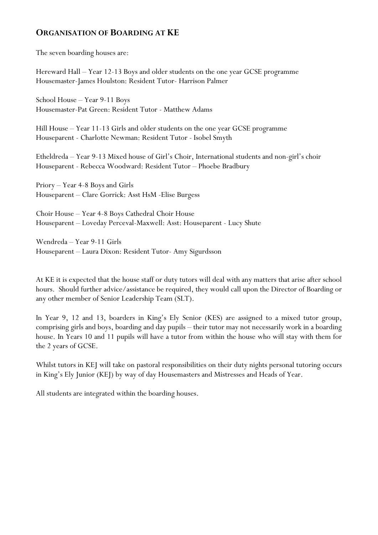# **ORGANISATION OF BOARDING AT KE**

The seven boarding houses are:

Hereward Hall – Year 12-13 Boys and older students on the one year GCSE programme Housemaster-James Houlston: Resident Tutor- Harrison Palmer

School House – Year 9-11 Boys Housemaster-Pat Green: Resident Tutor - Matthew Adams

Hill House – Year 11-13 Girls and older students on the one year GCSE programme Houseparent - Charlotte Newman: Resident Tutor - Isobel Smyth

Etheldreda – Year 9-13 Mixed house of Girl's Choir, International students and non-girl's choir Houseparent - Rebecca Woodward: Resident Tutor – Phoebe Bradbury

Priory – Year 4-8 Boys and Girls Houseparent – Clare Gorrick: Asst HsM -Elise Burgess

Choir House – Year 4-8 Boys Cathedral Choir House Houseparent – Loveday Perceval-Maxwell: Asst: Houseparent - Lucy Shute

Wendreda – Year 9-11 Girls Houseparent – Laura Dixon: Resident Tutor- Amy Sigurdsson

At KE it is expected that the house staff or duty tutors will deal with any matters that arise after school hours. Should further advice/assistance be required, they would call upon the Director of Boarding or any other member of Senior Leadership Team (SLT).

In Year 9, 12 and 13, boarders in King's Ely Senior (KES) are assigned to a mixed tutor group, comprising girls and boys, boarding and day pupils – their tutor may not necessarily work in a boarding house. In Years 10 and 11 pupils will have a tutor from within the house who will stay with them for the 2 years of GCSE.

Whilst tutors in KEJ will take on pastoral responsibilities on their duty nights personal tutoring occurs in King's Ely Junior (KEJ) by way of day Housemasters and Mistresses and Heads of Year.

All students are integrated within the boarding houses.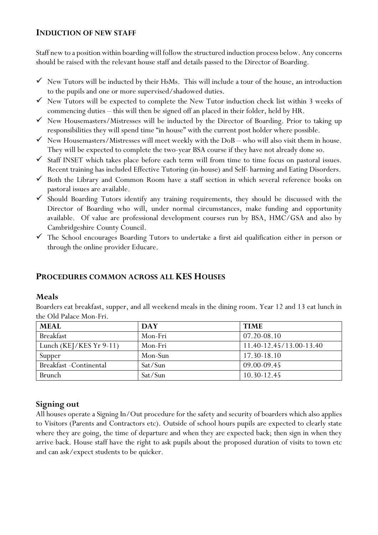#### **INDUCTION OF NEW STAFF**

Staff new to a position within boarding will follow the structured induction process below. Any concerns should be raised with the relevant house staff and details passed to the Director of Boarding.

- $\checkmark$  New Tutors will be inducted by their HsMs. This will include a tour of the house, an introduction to the pupils and one or more supervised/shadowed duties.
- $\checkmark$  New Tutors will be expected to complete the New Tutor induction check list within 3 weeks of commencing duties – this will then be signed off an placed in their folder, held by HR.
- $\checkmark$  New Housemasters/Mistresses will be inducted by the Director of Boarding. Prior to taking up responsibilities they will spend time "in house" with the current post holder where possible.
- $\checkmark$  New Housemasters/Mistresses will meet weekly with the DoB who will also visit them in house. They will be expected to complete the two-year BSA course if they have not already done so.
- $\checkmark$  Staff INSET which takes place before each term will from time to time focus on pastoral issues. Recent training has included Effective Tutoring (in-house) and Self- harming and Eating Disorders.
- $\checkmark$  Both the Library and Common Room have a staff section in which several reference books on pastoral issues are available.
- $\checkmark$  Should Boarding Tutors identify any training requirements, they should be discussed with the Director of Boarding who will, under normal circumstances, make funding and opportunity available. Of value are professional development courses run by BSA, HMC/GSA and also by Cambridgeshire County Council.
- $\checkmark$  The School encourages Boarding Tutors to undertake a first aid qualification either in person or through the online provider Educare.

# **PROCEDURES COMMON ACROSS ALL KES HOUSES**

#### **Meals**

Boarders eat breakfast, supper, and all weekend meals in the dining room. Year 12 and 13 eat lunch in the Old Palace Mon-Fri.

| <b>MEAL</b>               | <b>DAY</b> | <b>TIME</b>             |
|---------------------------|------------|-------------------------|
| Breakfast                 | Mon-Fri    | $07.20 - 08.10$         |
| Lunch (KEJ/KES $Yr$ 9-11) | Mon-Fri    | 11.40-12.45/13.00-13.40 |
| Supper                    | Mon-Sun    | 17.30-18.10             |
| Breakfast - Continental   | Sat/Sun    | 09.00-09.45             |
| Brunch                    | Sat/Sun    | 10.30-12.45             |

# **Signing out**

All houses operate a Signing In/Out procedure for the safety and security of boarders which also applies to Visitors (Parents and Contractors etc). Outside of school hours pupils are expected to clearly state where they are going, the time of departure and when they are expected back; then sign in when they arrive back. House staff have the right to ask pupils about the proposed duration of visits to town etc and can ask/expect students to be quicker.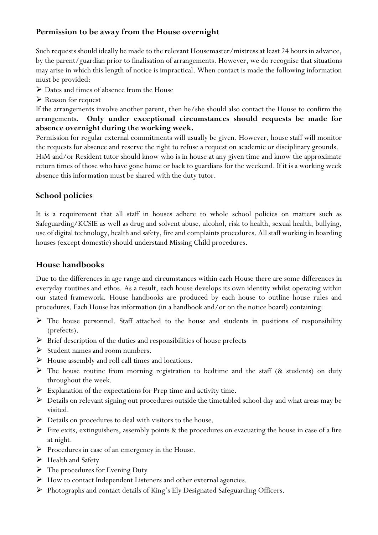# **Permission to be away from the House overnight**

Such requests should ideally be made to the relevant Housemaster/mistress at least 24 hours in advance, by the parent/guardian prior to finalisation of arrangements. However, we do recognise that situations may arise in which this length of notice is impractical. When contact is made the following information must be provided:

- $\triangleright$  Dates and times of absence from the House
- Reason for request

If the arrangements involve another parent, then he/she should also contact the House to confirm the arrangements**. Only under exceptional circumstances should requests be made for absence overnight during the working week.**

Permission for regular external commitments will usually be given. However, house staff will monitor the requests for absence and reserve the right to refuse a request on academic or disciplinary grounds. HsM and/or Resident tutor should know who is in house at any given time and know the approximate return times of those who have gone home or back to guardians for the weekend. If it is a working week absence this information must be shared with the duty tutor.

# **School policies**

It is a requirement that all staff in houses adhere to whole school policies on matters such as Safeguarding/KCSIE as well as drug and solvent abuse, alcohol, risk to health, sexual health, bullying, use of digital technology, health and safety, fire and complaints procedures. All staff working in boarding houses (except domestic) should understand Missing Child procedures.

# **House handbooks**

Due to the differences in age range and circumstances within each House there are some differences in everyday routines and ethos. As a result, each house develops its own identity whilst operating within our stated framework. House handbooks are produced by each house to outline house rules and procedures. Each House has information (in a handbook and/or on the notice board) containing:

- $\triangleright$  The house personnel. Staff attached to the house and students in positions of responsibility (prefects).
- $\triangleright$  Brief description of the duties and responsibilities of house prefects
- $\triangleright$  Student names and room numbers.
- House assembly and roll call times and locations.
- $\triangleright$  The house routine from morning registration to bedtime and the staff (& students) on duty throughout the week.
- $\triangleright$  Explanation of the expectations for Prep time and activity time.
- $\triangleright$  Details on relevant signing out procedures outside the timetabled school day and what areas may be visited.
- $\triangleright$  Details on procedures to deal with visitors to the house.
- $\triangleright$  Fire exits, extinguishers, assembly points & the procedures on evacuating the house in case of a fire at night.
- $\triangleright$  Procedures in case of an emergency in the House.
- $\blacktriangleright$  Health and Safety
- $\triangleright$  The procedures for Evening Duty
- $\triangleright$  How to contact Independent Listeners and other external agencies.
- $\triangleright$  Photographs and contact details of King's Ely Designated Safeguarding Officers.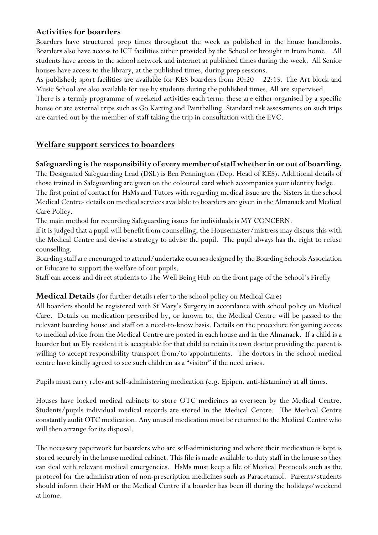# **Activities for boarders**

Boarders have structured prep times throughout the week as published in the house handbooks. Boarders also have access to ICT facilities either provided by the School or brought in from home. All students have access to the school network and internet at published times during the week. All Senior houses have access to the library, at the published times, during prep sessions.

As published; sport facilities are available for KES boarders from 20:20 – 22:15. The Art block and Music School are also available for use by students during the published times. All are supervised.

There is a termly programme of weekend activities each term: these are either organised by a specific house or are external trips such as Go Karting and Paintballing. Standard risk assessments on such trips are carried out by the member of staff taking the trip in consultation with the EVC.

# **Welfare support services to boarders**

# **Safeguarding is the responsibility of every member of staff whether in or out of boarding.**

The Designated Safeguarding Lead (DSL) is Ben Pennington (Dep. Head of KES). Additional details of those trained in Safeguarding are given on the coloured card which accompanies your identity badge. The first point of contact for HsMs and Tutors with regarding medical issue are the Sisters in the school Medical Centre- details on medical services available to boarders are given in the Almanack and Medical Care Policy.

The main method for recording Safeguarding issues for individuals is MY CONCERN.

If it is judged that a pupil will benefit from counselling, the Housemaster/mistress may discuss this with the Medical Centre and devise a strategy to advise the pupil. The pupil always has the right to refuse counselling.

Boarding staff are encouraged to attend/undertake courses designed by the Boarding Schools Association or Educare to support the welfare of our pupils.

Staff can access and direct students to The Well Being Hub on the front page of the School's Firefly

# **Medical Details** (for further details refer to the school policy on Medical Care)

All boarders should be registered with St Mary's Surgery in accordance with school policy on Medical Care. Details on medication prescribed by, or known to, the Medical Centre will be passed to the relevant boarding house and staff on a need-to-know basis. Details on the procedure for gaining access to medical advice from the Medical Centre are posted in each house and in the Almanack. If a child is a boarder but an Ely resident it is acceptable for that child to retain its own doctor providing the parent is willing to accept responsibility transport from/to appointments. The doctors in the school medical centre have kindly agreed to see such children as a "visitor" if the need arises.

Pupils must carry relevant self-administering medication (e.g. Epipen, anti-histamine) at all times.

Houses have locked medical cabinets to store OTC medicines as overseen by the Medical Centre. Students/pupils individual medical records are stored in the Medical Centre. The Medical Centre constantly audit OTC medication. Any unused medication must be returned to the Medical Centre who will then arrange for its disposal.

The necessary paperwork for boarders who are self-administering and where their medication is kept is stored securely in the house medical cabinet. This file is made available to duty staff in the house so they can deal with relevant medical emergencies. HsMs must keep a file of Medical Protocols such as the protocol for the administration of non-prescription medicines such as Paracetamol. Parents/students should inform their HsM or the Medical Centre if a boarder has been ill during the holidays/weekend at home.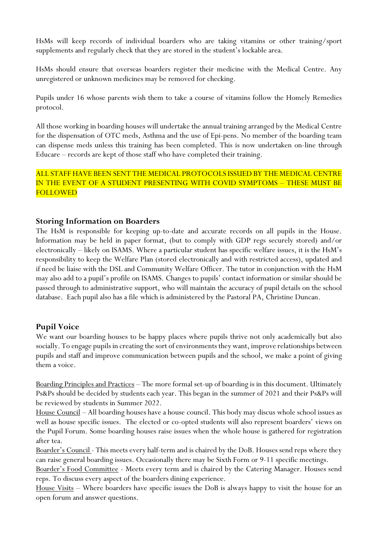HsMs will keep records of individual boarders who are taking vitamins or other training/sport supplements and regularly check that they are stored in the student's lockable area.

HsMs should ensure that overseas boarders register their medicine with the Medical Centre. Any unregistered or unknown medicines may be removed for checking.

Pupils under 16 whose parents wish them to take a course of vitamins follow the Homely Remedies protocol.

All those working in boarding houses will undertake the annual training arranged by the Medical Centre for the dispensation of OTC meds, Asthma and the use of Epi-pens. No member of the boarding team can dispense meds unless this training has been completed. This is now undertaken on-line through Educare – records are kept of those staff who have completed their training.

#### ALL STAFF HAVE BEEN SENT THE MEDICAL PROTOCOLS ISSUED BY THE MEDICAL CENTRE IN THE EVENT OF A STUDENT PRESENTING WITH COVID SYMPTOMS – THESE MUST BE FOLLOWED

# **Storing Information on Boarders**

The HsM is responsible for keeping up-to-date and accurate records on all pupils in the House. Information may be held in paper format, (but to comply with GDP regs securely stored) and/or electronically – likely on ISAMS. Where a particular student has specific welfare issues, it is the HsM's responsibility to keep the Welfare Plan (stored electronically and with restricted access), updated and if need be liaise with the DSL and Community Welfare Officer. The tutor in conjunction with the HsM may also add to a pupil's profile on ISAMS. Changes to pupils' contact information or similar should be passed through to administrative support, who will maintain the accuracy of pupil details on the school database. Each pupil also has a file which is administered by the Pastoral PA, Christine Duncan.

# **Pupil Voice**

We want our boarding houses to be happy places where pupils thrive not only academically but also socially. To engage pupils in creating the sort of environments they want, improve relationships between pupils and staff and improve communication between pupils and the school, we make a point of giving them a voice.

Boarding Principles and Practices – The more formal set-up of boarding is in this document. Ultimately Ps&Ps should be decided by students each year. This began in the summer of 2021 and their Ps&Ps will be reviewed by students in Summer 2022.

House Council – All boarding houses have a house council. This body may discus whole school issues as well as house specific issues. The elected or co-opted students will also represent boarders' views on the Pupil Forum. Some boarding houses raise issues when the whole house is gathered for registration after tea.

Boarder's Council - This meets every half-term and is chaired by the DoB. Houses send reps where they can raise general boarding issues. Occasionally there may be Sixth Form or 9-11 specific meetings.

Boarder's Food Committee - Meets every term and is chaired by the Catering Manager. Houses send reps. To discuss every aspect of the boarders dining experience.

House Visits – Where boarders have specific issues the DoB is always happy to visit the house for an open forum and answer questions.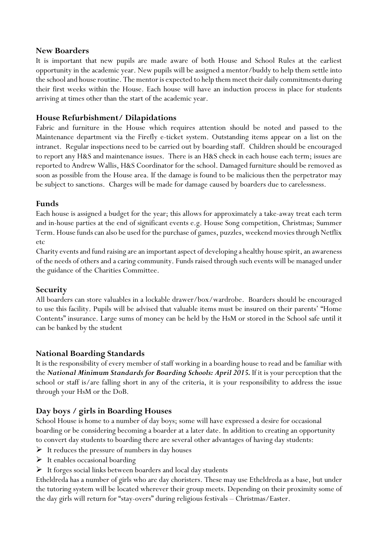#### **New Boarders**

It is important that new pupils are made aware of both House and School Rules at the earliest opportunity in the academic year. New pupils will be assigned a mentor/buddy to help them settle into the school and house routine. The mentor is expected to help them meet their daily commitments during their first weeks within the House. Each house will have an induction process in place for students arriving at times other than the start of the academic year.

#### **House Refurbishment/ Dilapidations**

Fabric and furniture in the House which requires attention should be noted and passed to the Maintenance department via the Firefly e-ticket system. Outstanding items appear on a list on the intranet. Regular inspections need to be carried out by boarding staff. Children should be encouraged to report any H&S and maintenance issues. There is an H&S check in each house each term; issues are reported to Andrew Wallis, H&S Coordinator for the school. Damaged furniture should be removed as soon as possible from the House area. If the damage is found to be malicious then the perpetrator may be subject to sanctions. Charges will be made for damage caused by boarders due to carelessness.

#### **Funds**

Each house is assigned a budget for the year; this allows for approximately a take-away treat each term and in-house parties at the end of significant events e.g. House Song competition, Christmas; Summer Term. House funds can also be used for the purchase of games, puzzles, weekend movies through Netflix etc

Charity events and fund raising are an important aspect of developing a healthy house spirit, an awareness of the needs of others and a caring community. Funds raised through such events will be managed under the guidance of the Charities Committee.

#### **Security**

All boarders can store valuables in a lockable drawer/box/wardrobe. Boarders should be encouraged to use this facility. Pupils will be advised that valuable items must be insured on their parents' "Home Contents" insurance. Large sums of money can be held by the HsM or stored in the School safe until it can be banked by the student

#### **National Boarding Standards**

It is the responsibility of every member of staff working in a boarding house to read and be familiar with the *National Minimum Standards for Boarding Schools: April 2015.* If it is your perception that the school or staff is/are falling short in any of the criteria, it is your responsibility to address the issue through your HsM or the DoB.

#### **Day boys / girls in Boarding Houses**

School House is home to a number of day boys; some will have expressed a desire for occasional boarding or be considering becoming a boarder at a later date. In addition to creating an opportunity to convert day students to boarding there are several other advantages of having day students:

- $\triangleright$  It reduces the pressure of numbers in day houses
- $\triangleright$  It enables occasional boarding
- $\triangleright$  It forges social links between boarders and local day students

Etheldreda has a number of girls who are day choristers. These may use Etheldreda as a base, but under the tutoring system will be located wherever their group meets. Depending on their proximity some of the day girls will return for "stay-overs" during religious festivals – Christmas/Easter.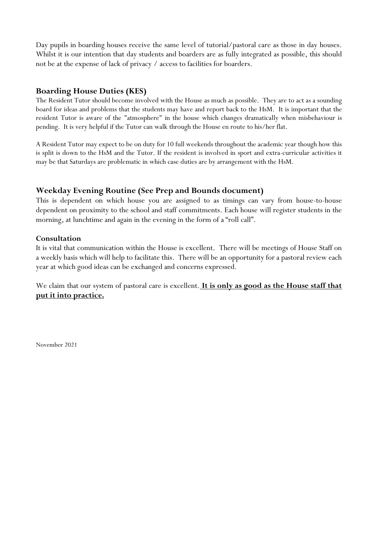Day pupils in boarding houses receive the same level of tutorial/pastoral care as those in day houses. Whilst it is our intention that day students and boarders are as fully integrated as possible, this should not be at the expense of lack of privacy / access to facilities for boarders.

#### **Boarding House Duties (KES)**

The Resident Tutor should become involved with the House as much as possible. They are to act as a sounding board for ideas and problems that the students may have and report back to the HsM. It is important that the resident Tutor is aware of the "atmosphere" in the house which changes dramatically when misbehaviour is pending. It is very helpful if the Tutor can walk through the House en route to his/her flat.

A Resident Tutor may expect to be on duty for 10 full weekends throughout the academic year though how this is split is down to the HsM and the Tutor. If the resident is involved in sport and extra-curricular activities it may be that Saturdays are problematic in which case duties are by arrangement with the HsM.

# **Weekday Evening Routine (See Prep and Bounds document)**

This is dependent on which house you are assigned to as timings can vary from house-to-house dependent on proximity to the school and staff commitments. Each house will register students in the morning, at lunchtime and again in the evening in the form of a "roll call".

#### **Consultation**

It is vital that communication within the House is excellent. There will be meetings of House Staff on a weekly basis which will help to facilitate this. There will be an opportunity for a pastoral review each year at which good ideas can be exchanged and concerns expressed.

We claim that our system of pastoral care is excellent. **It is only as good as the House staff that put it into practice.** 

November 2021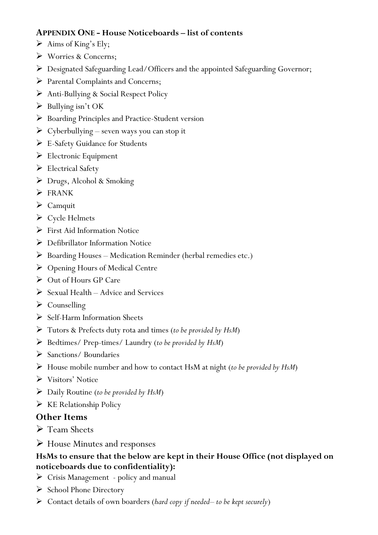# **APPENDIX ONE - House Noticeboards – list of contents**

- $\triangleright$  Aims of King's Ely;
- Worries & Concerns;
- Designated Safeguarding Lead/Officers and the appointed Safeguarding Governor;
- ▶ Parental Complaints and Concerns;
- Anti-Bullying & Social Respect Policy
- $\triangleright$  Bullying isn't OK
- ▶ Boarding Principles and Practice-Student version
- $\triangleright$  Cyberbullying seven ways you can stop it
- E-Safety Guidance for Students
- $\triangleright$  Electronic Equipment
- Electrical Safety
- Drugs, Alcohol & Smoking
- $\triangleright$  FRANK
- $\triangleright$  Camquit
- $\triangleright$  Cycle Helmets
- $\triangleright$  First Aid Information Notice
- ▶ Defibrillator Information Notice
- Boarding Houses Medication Reminder (herbal remedies etc.)
- Opening Hours of Medical Centre
- Out of Hours GP Care
- $\triangleright$  Sexual Health Advice and Services
- $\triangleright$  Counselling
- Self-Harm Information Sheets
- Tutors & Prefects duty rota and times (*to be provided by HsM*)
- Bedtimes/ Prep-times/ Laundry (*to be provided by HsM*)
- $\triangleright$  Sanctions/ Boundaries
- House mobile number and how to contact HsM at night (*to be provided by HsM*)
- Visitors' Notice
- Daily Routine (*to be provided by HsM*)
- $\triangleright$  KE Relationship Policy

# **Other Items**

- **►** Team Sheets
- House Minutes and responses

# **HsMs to ensure that the below are kept in their House Office (not displayed on noticeboards due to confidentiality):**

- Crisis Management policy and manual
- $\triangleright$  School Phone Directory
- Contact details of own boarders (*hard copy if needed– to be kept securely*)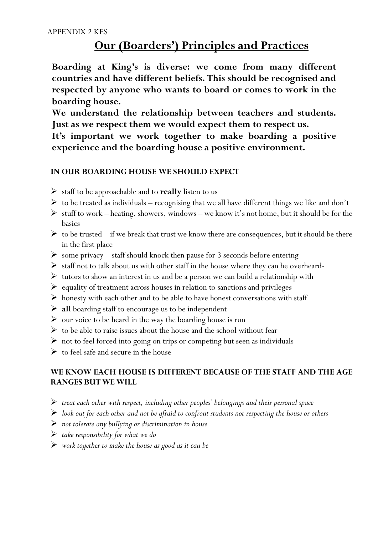# **Our (Boarders') Principles and Practices**

**Boarding at King's is diverse: we come from many different countries and have different beliefs. This should be recognised and respected by anyone who wants to board or comes to work in the boarding house.**

**We understand the relationship between teachers and students. Just as we respect them we would expect them to respect us.**

**It's important we work together to make boarding a positive experience and the boarding house a positive environment.**

# **IN OUR BOARDING HOUSE WE SHOULD EXPECT**

- $\triangleright$  staff to be approachable and to **really** listen to us
- $\triangleright$  to be treated as individuals recognising that we all have different things we like and don't
- $\triangleright$  stuff to work heating, showers, windows we know it's not home, but it should be for the basics
- $\triangleright$  to be trusted if we break that trust we know there are consequences, but it should be there in the first place
- $\triangleright$  some privacy staff should knock then pause for 3 seconds before entering
- $\triangleright$  staff not to talk about us with other staff in the house where they can be overheard-
- $\triangleright$  tutors to show an interest in us and be a person we can build a relationship with
- $\triangleright$  equality of treatment across houses in relation to sanctions and privileges
- $\triangleright$  honesty with each other and to be able to have honest conversations with staff
- **all** boarding staff to encourage us to be independent
- $\triangleright$  our voice to be heard in the way the boarding house is run
- $\triangleright$  to be able to raise issues about the house and the school without fear
- not to feel forced into going on trips or competing but seen as individuals
- $\triangleright$  to feel safe and secure in the house

# **WE KNOW EACH HOUSE IS DIFFERENT BECAUSE OF THE STAFF AND THE AGE RANGES BUT WE WILL**

- *treat each other with respect, including other peoples' belongings and their personal space*
- *look out for each other and not be afraid to confront students not respecting the house or others*
- *not tolerate any bullying or discrimination in house*
- *take responsibility for what we do*
- *work together to make the house as good as it can be*